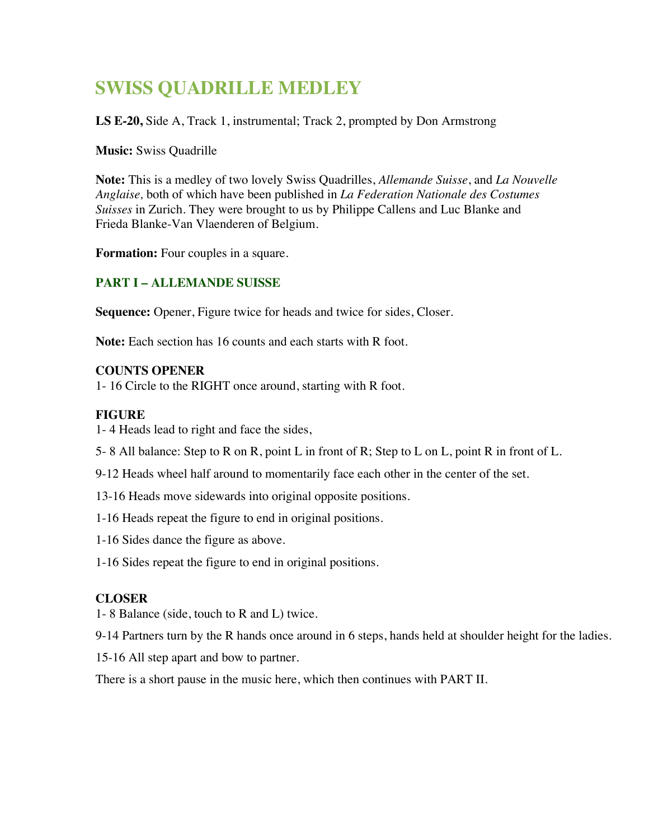# **SWISS QUADRILLE MEDLEY**

**LS E-20,** Side A, Track 1, instrumental; Track 2, prompted by Don Armstrong

#### **Music:** Swiss Quadrille

**Note:** This is a medley of two lovely Swiss Quadrilles, *Allemande Suisse*, and *La Nouvelle Anglaise,* both of which have been published in *La Federation Nationale des Costumes Suisses* in Zurich. They were brought to us by Philippe Callens and Luc Blanke and Frieda Blanke-Van Vlaenderen of Belgium.

**Formation:** Four couples in a square.

## **PART I – ALLEMANDE SUISSE**

**Sequence:** Opener, Figure twice for heads and twice for sides, Closer.

**Note:** Each section has 16 counts and each starts with R foot.

#### **COUNTS OPENER**

1- 16 Circle to the RIGHT once around, starting with R foot.

## **FIGURE**

- 1- 4 Heads lead to right and face the sides,
- 5- 8 All balance: Step to R on R, point L in front of R; Step to L on L, point R in front of L.
- 9-12 Heads wheel half around to momentarily face each other in the center of the set.
- 13-16 Heads move sidewards into original opposite positions.
- 1-16 Heads repeat the figure to end in original positions.
- 1-16 Sides dance the figure as above.
- 1-16 Sides repeat the figure to end in original positions.

## **CLOSER**

1- 8 Balance (side, touch to R and L) twice.

9-14 Partners turn by the R hands once around in 6 steps, hands held at shoulder height for the ladies.

15-16 All step apart and bow to partner.

There is a short pause in the music here, which then continues with PART II.